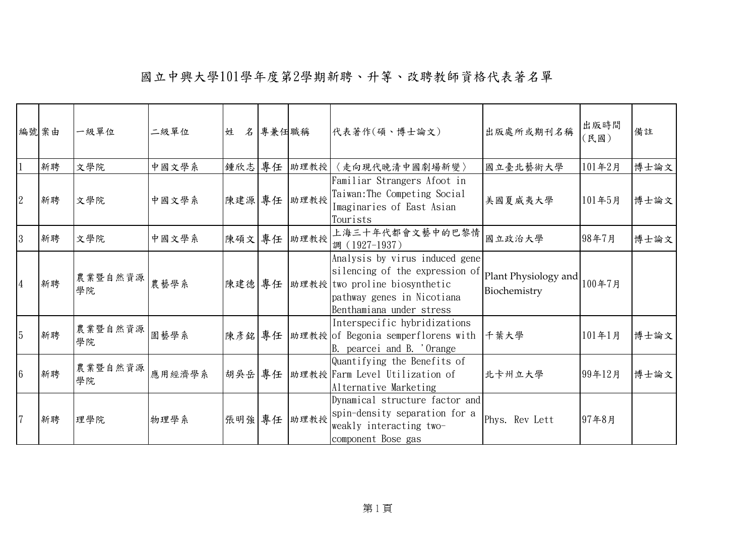|                 | 編號案由 | 一級單位          | 二級單位   | 姓      | 名專兼任職稱 |      | 代表著作(碩、博士論文)                                                                                                                                                 | 出版處所或期刊名稱                            | 出版時間<br>(民國) | 備註   |
|-----------------|------|---------------|--------|--------|--------|------|--------------------------------------------------------------------------------------------------------------------------------------------------------------|--------------------------------------|--------------|------|
|                 | 新聘   | 文學院           | 中國文學系  | 鍾欣志 專任 |        | 助理教授 | 〈走向現代晚清中國劇場新變〉                                                                                                                                               | 國立臺北藝術大學                             | 101年2月       | 博士論文 |
| $\overline{2}$  | 新聘   | 文學院           | 中國文學系  | 陳建源 專任 |        | 助理教授 | Familiar Strangers Afoot in<br>Taiwan: The Competing Social<br>Imaginaries of East Asian<br>Tourists                                                         | 美國夏威夷大學                              | 101年5月       | 博士論文 |
| 3               | 新聘   | 文學院           | 中國文學系  | 陳碩文 專任 |        | 助理教授 | 上海三十年代都會文藝中的巴黎情<br>調 (1927-1937)                                                                                                                             | 國立政治大學                               | 98年7月        | 博士論文 |
| $\overline{4}$  | 新聘   | 農業暨自然資源<br>學院 | 農藝學系   | 陳建德 專任 |        |      | Analysis by virus induced gene<br>silencing of the expression of<br> 助理教授 two proline biosynthetic<br>pathway genes in Nicotiana<br>Benthamiana under stress | Plant Physiology and<br>Biochemistry | 100年7月       |      |
| $\overline{5}$  | 新聘   | 農業暨自然資源<br>學院 | 園藝學系   | 陳彥銘 專任 |        |      | Interspecific hybridizations<br> 助理教授 of Begonia semperflorens with<br>B. pearcei and B. 'Orange                                                             | 千葉大學                                 | 101年1月       | 博士論文 |
| $6\phantom{.}6$ | 新聘   | 農業暨自然資源<br>學院 | 應用經濟學系 | 胡吳岳 專任 |        |      | Quantifying the Benefits of<br>助理教授 Farm Level Utilization of<br>Alternative Marketing                                                                       | 北卡州立大學                               | 99年12月       | 博士論文 |
| $\overline{7}$  | 新聘   | 理學院           | 物理學系   | 張明強 專任 |        | 助理教授 | Dynamical structure factor and<br>spin-density separation for a<br>weakly interacting two-<br>component Bose gas                                             | Phys. Rev Lett                       | 97年8月        |      |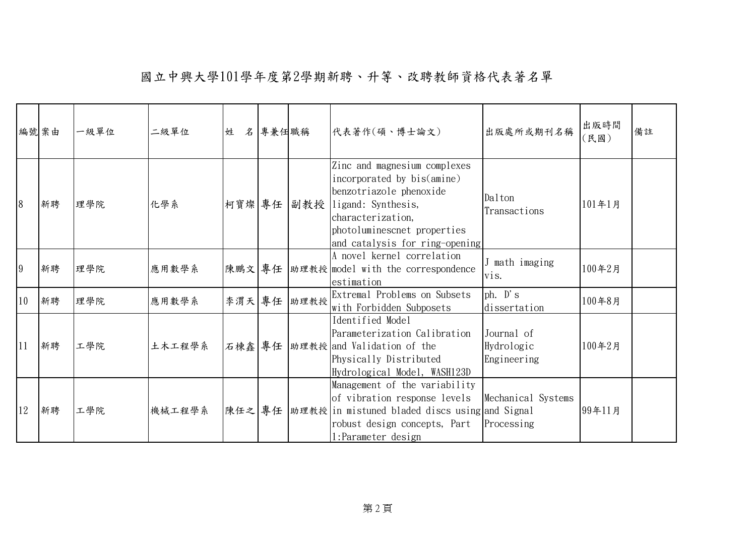|    | 編號案由 | 一級單位 | 二級單位   | 姓      | 名 專兼任職稱 |      | 代表著作(碩、博士論文)                                                                                                                                                                                      | 出版處所或期刊名稱                               | 出版時間<br>(民國) | 備註 |
|----|------|------|--------|--------|---------|------|---------------------------------------------------------------------------------------------------------------------------------------------------------------------------------------------------|-----------------------------------------|--------------|----|
| 8  | 新聘   | 理學院  | 化學系    | 柯寶燦 專任 |         | 副教授  | Zinc and magnesium complexes<br>incorporated by bis(amine)<br>benzotriazole phenoxide<br>ligand: Synthesis,<br>characterization,<br>photoluminescnet properties<br>and catalysis for ring-opening | Dalton<br>Transactions                  | 101年1月       |    |
| 9  | 新聘   | 理學院  | 應用數學系  | 陳鵬文 專任 |         |      | A novel kernel correlation<br> 助理教授 model with the correspondence<br>estimation                                                                                                                   | J math imaging<br>vis.                  | 100年2月       |    |
| 10 | 新聘   | 理學院  | 應用數學系  | 李渭天 專任 |         | 助理教授 | Extremal Problems on Subsets<br>with Forbidden Subposets                                                                                                                                          | $ph.$ $D's$<br>dissertation             | 100年8月       |    |
| 11 | 新聘   | 工學院  | 土木工程學系 | 石棟鑫 專任 |         |      | Identified Model<br>Parameterization Calibration<br> 助理教授 and Validation of the<br>Physically Distributed<br>Hydrological Model, WASH123D                                                         | Journal of<br>Hydrologic<br>Engineering | 100年2月       |    |
| 12 | 新聘   | 工學院  | 機械工程學系 | 陳任之 專任 |         |      | Management of the variability<br>of vibration response levels<br>助理教授 in mistuned bladed discs using and Signal<br>robust design concepts, Part<br>1:Parameter design                             | Mechanical Systems<br>Processing        | 99年11月       |    |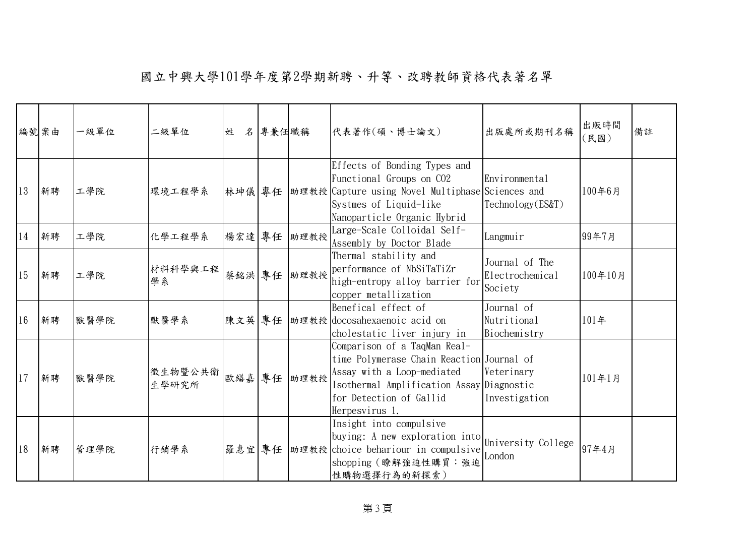|    | 編號案由 | 一級單位 | 二級單位             | 姓      | 名專兼任職稱 |             | 代表著作(碩、博士論文)                                                                                                                                                                                      | 出版處所或期刊名稱                                    | 出版時間<br>(民國) | 備註 |
|----|------|------|------------------|--------|--------|-------------|---------------------------------------------------------------------------------------------------------------------------------------------------------------------------------------------------|----------------------------------------------|--------------|----|
| 13 | 新聘   | 工學院  | 環境工程學系           | 林坤儀 專任 |        |             | Effects of Bonding Types and<br>Functional Groups on CO2<br> 助理教授 Capture using Novel Multiphase Sciences and<br>Systmes of Liquid-like<br>Nanoparticle Organic Hybrid                            | Environmental<br>Technology(ES&T)            | 100年6月       |    |
| 14 | 新聘   | 工學院  | 化學工程學系           | 楊宏達專任  |        | 助理教授        | Large-Scale Colloidal Self-<br>Assembly by Doctor Blade                                                                                                                                           | Langmuir                                     | 99年7月        |    |
| 15 | 新聘   | 工學院  | 材料科學與工程<br>學系    |        |        | 蔡銘洪 專任 助理教授 | Thermal stability and<br>performance of NbSiTaTiZr<br>high-entropy alloy barrier for<br>copper metallization                                                                                      | Journal of The<br>Electrochemical<br>Society | 100年10月      |    |
| 16 | 新聘   | 獸醫學院 | 獸醫學系             | 陳文英 專任 |        |             | Benefical effect of<br>助理教授 docosahexaenoic acid on<br>cholestatic liver injury in                                                                                                                | Journal of<br>Nutritional<br>Biochemistry    | 101年         |    |
| 17 | 新聘   | 獸醫學院 | 徵生物暨公共衛<br>生學研究所 | 歐繕嘉專任  |        | 助理教授        | Comparison of a TaqMan Real-<br>time Polymerase Chain Reaction Journal of<br>Assay with a Loop-mediated<br>Isothermal Amplification Assay Diagnostic<br>for Detection of Gallid<br>Herpesvirus 1. | Veterinary<br>Investigation                  | 101年1月       |    |
| 18 | 新聘   | 管理學院 | 行銷學系             | 羅惠宜 專任 |        |             | Insight into compulsive<br>buying: A new exploration into<br> 助理教授 choice behariour in compulsive   chariotic<br>shopping (瞭解強迫性購買:強迫<br>性購物選擇行為的新探索)                                             | University College                           | 97年4月        |    |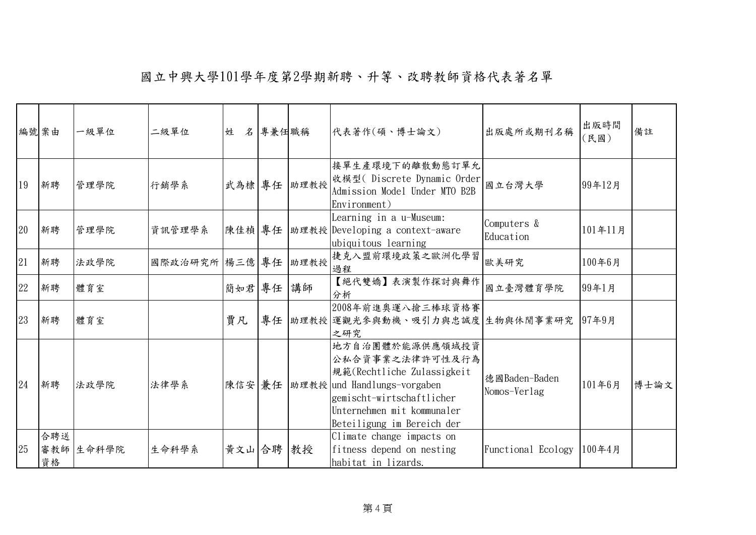|    | 編號案由             | 一級單位  | 二級單位           | 姓      | 名專兼任職稱 |      | 代表著作(碩、博士論文)                                                                                                                                                                             | 出版處所或期刊名稱                     | 出版時間<br>(民國) | 備註   |
|----|------------------|-------|----------------|--------|--------|------|------------------------------------------------------------------------------------------------------------------------------------------------------------------------------------------|-------------------------------|--------------|------|
| 19 | 新聘               | 管理學院  | 行銷學系           | 武為棣 專任 |        | 助理教授 | 接單生產環境下的離散動態訂單允<br>收模型(Discrete Dynamic Order<br>Admission Model Under MTO B2B<br>Environment)                                                                                           | 國立台灣大學                        | 99年12月       |      |
| 20 | 新聘               | 管理學院  | 資訊管理學系         | 陳佳楨 專任 |        |      | Learning in a u-Museum:<br>助理教授 Developing a context-aware<br>ubiquitous learning                                                                                                        | Computers &<br>Education      | 101年11月      |      |
| 21 | 新聘               | 法政學院  | 國際政治研究所 楊三億 專任 |        |        | 助理教授 | 捷克入盟前環境政策之歐洲化學習<br>過程                                                                                                                                                                    | 歐美研究                          | 100年6月       |      |
| 22 | 新聘               | 體育室   |                | 簡如君 專任 |        | 講師   | 【絕代雙嬌】表演製作探討與舞作<br>分析                                                                                                                                                                    | 國立臺灣體育學院                      | 99年1月        |      |
| 23 | 新聘               | 體育室   |                | 賈凡     | 專任     |      | 2008年前進奧運八搶三棒球資格賽<br> 助理教授 運觀光參與動機、吸引力與忠誠度 生物與休閒事業研究<br>之研究                                                                                                                              |                               | 97年9月        |      |
| 24 | 新聘               | 法政學院  | 法律學系           | 陳信安 兼任 |        |      | 地方自治團體於能源供應領域投資<br>公私合資事業之法律許可性及行為<br>規範(Rechtliche Zulassigkeit<br>助理教授 und Handlungs-vorgaben<br>gemischt-wirtschaftlicher<br>Unternehmen mit kommunaler<br>Beteiligung im Bereich der | 德國Baden-Baden<br>Nomos-Verlag | 101年6月       | 博士論文 |
| 25 | 合聘送<br>審教師<br>資格 | 生命科學院 | 生命科學系          | 黃文山 合聘 |        | 教授   | Climate change impacts on<br>fitness depend on nesting<br>habitat in lizards.                                                                                                            | Functional Ecology            | 100年4月       |      |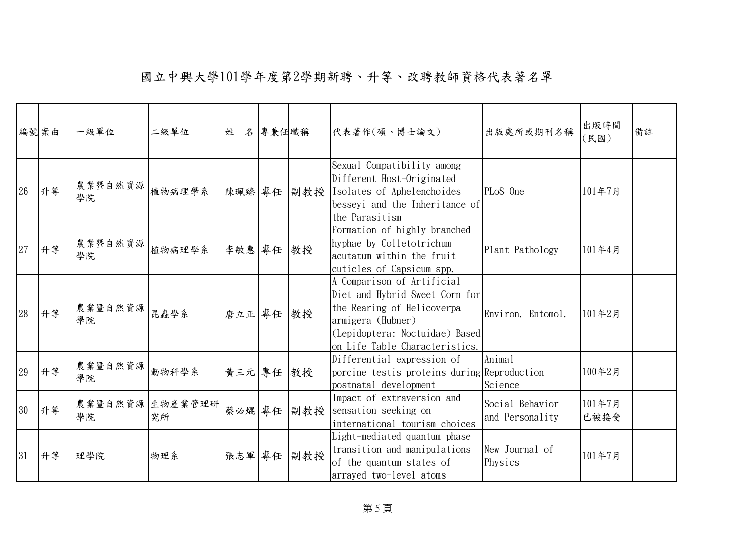|    | 編號案由 | 一級單位                      | 二級單位                  | 姓         | 名專兼任職稱 |     | 代表著作(碩、博士論文)                                                                                                                                                                        | 出版處所或期刊名稱                          | 出版時間<br>(民國)   | 備註 |
|----|------|---------------------------|-----------------------|-----------|--------|-----|-------------------------------------------------------------------------------------------------------------------------------------------------------------------------------------|------------------------------------|----------------|----|
| 26 | 升等   | 農業暨自然資源  <br>植物病理學系<br>學院 |                       | 陳珮臻 專任    |        |     | Sexual Compatibility among<br>Different Host-Originated<br> 副教授   Isolates of Aphelenchoides<br>besseyi and the Inheritance of<br>the Parasitism                                    | PLoS One                           | 101年7月         |    |
| 27 | 升等   | 農業暨自然資源  <br>植物病理學系<br>學院 |                       | 李敏惠專任     |        | 教授  | Formation of highly branched<br>hyphae by Colletotrichum<br>acutatum within the fruit<br>cuticles of Capsicum spp.                                                                  | Plant Pathology                    | 101年4月         |    |
| 28 | 升等   | 農業暨自然資源 昆蟲學系<br>學院        |                       | 唐立正 專任 教授 |        |     | A Comparison of Artificial<br>Diet and Hybrid Sweet Corn for<br>the Rearing of Helicoverpa<br>armigera (Hubner)<br>(Lepidoptera: Noctuidae) Based<br>on Life Table Characteristics. | Environ. Entomol.                  | 101年2月         |    |
| 29 | 升等   | 農業暨自然資源<br>學院             | 動物科學系                 | 黃三元 專任    |        | 教授  | Differential expression of<br>porcine testis proteins during Reproduction<br>postnatal development                                                                                  | Animal<br>Science                  | 100年2月         |    |
| 30 | 升等   | 學院                        | 農業暨自然資源 生物產業管理研<br>究所 | 蔡必焜專任     |        |     | Impact of extraversion and<br>副教授 sensation seeking on<br>international tourism choices                                                                                             | Social Behavior<br>and Personality | 101年7月<br>已被接受 |    |
| 31 | 升等   | 理學院                       | 物理系                   | 張志軍 專任    |        | 副教授 | Light-mediated quantum phase<br>transition and manipulations<br>of the quantum states of<br>arrayed two-level atoms                                                                 | New Journal of<br>Physics          | 101年7月         |    |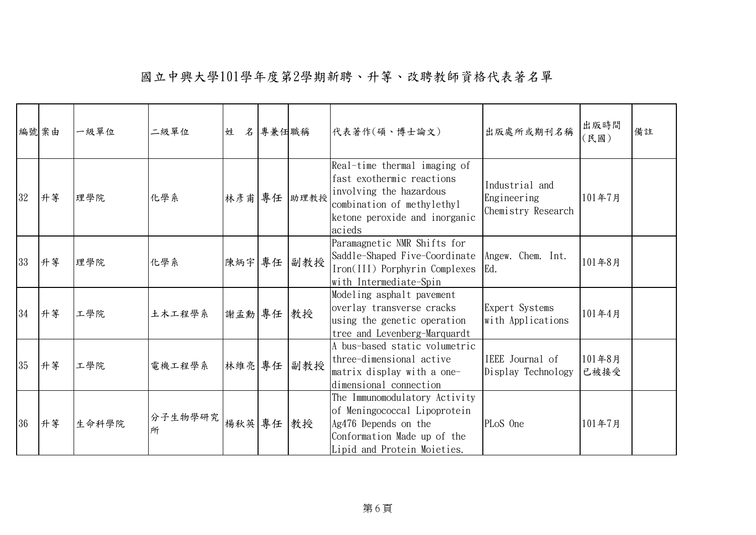|    | 編號案由 | 一級單位  | 二級單位          | 姓         | 名專兼任職稱 |             | 代表著作(碩、博士論文)                                                                                                                                                  | 出版處所或期刊名稱                                           | 出版時間<br>(民國)   | 備註 |
|----|------|-------|---------------|-----------|--------|-------------|---------------------------------------------------------------------------------------------------------------------------------------------------------------|-----------------------------------------------------|----------------|----|
| 32 | 升等   | 理學院   | 化學系           |           |        | 林彥甫 專任 助理教授 | Real-time thermal imaging of<br>fast exothermic reactions<br>involving the hazardous<br>combination of methylethyl<br>ketone peroxide and inorganic<br>acieds | Industrial and<br>Engineering<br>Chemistry Research | 101年7月         |    |
| 33 | 升等   | 理學院   | 化學系           | 陳炳宇 專任    |        | 副教授         | Paramagnetic NMR Shifts for<br>Saddle-Shaped Five-Coordinate<br>Iron(III) Porphyrin Complexes<br>with Intermediate-Spin                                       | Angew. Chem. Int.<br>Ed.                            | 101年8月         |    |
| 34 | 升等   | 工學院   | 土木工程學系        | 謝孟勳 專任    |        | 教授          | Modeling asphalt pavement<br>overlay transverse cracks<br>using the genetic operation<br>tree and Levenberg-Marquardt                                         | Expert Systems<br>with Applications                 | 101年4月         |    |
| 35 | 升等   | 工學院   | 電機工程學系        | 林維亮 專任    |        | 副教授         | A bus-based static volumetric<br>three-dimensional active<br>matrix display with a one-<br>dimensional connection                                             | IEEE Journal of<br>Display Technology               | 101年8月<br>已被接受 |    |
| 36 | 升等   | 生命科學院 | 分子生物學研究 <br>所 | 楊秋英 專任 教授 |        |             | The Immunomodulatory Activity<br>of Meningococcal Lipoprotein<br>Ag476 Depends on the<br>Conformation Made up of the<br>Lipid and Protein Moieties.           | PLoS One                                            | 101年7月         |    |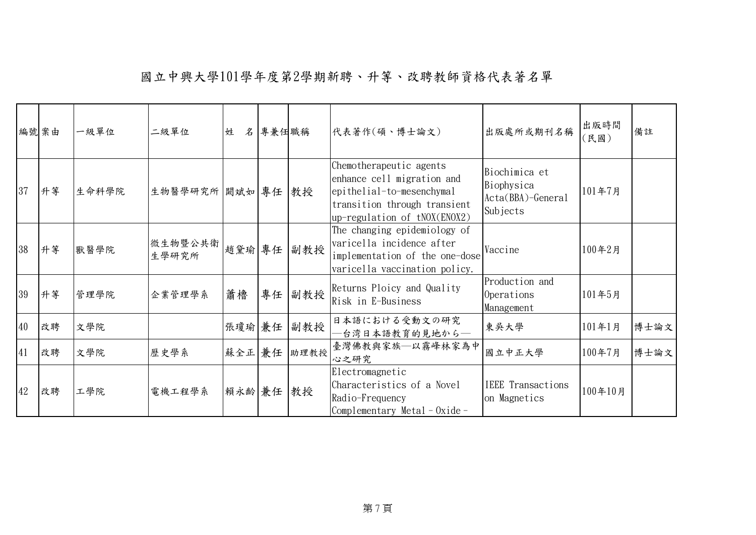|    | 編號案由 | 一級單位  | 二級單位             | 姓      | 名專兼任職稱 |      | 代表著作(碩、博士論文)                                                                                                                                         | 出版處所或期刊名稱                                                      | 出版時間<br>(民國) | 備註   |
|----|------|-------|------------------|--------|--------|------|------------------------------------------------------------------------------------------------------------------------------------------------------|----------------------------------------------------------------|--------------|------|
| 37 | 升等   | 生命科學院 | 生物醫學研究所 闕斌如 專任   |        |        | 教授   | Chemotherapeutic agents<br>enhance cell migration and<br>epithelial-to-mesenchymal<br>transition through transient<br>$up-regulation of tNOX(ENOX2)$ | Biochimica et<br>Biophysica<br>$Acta(BBA)-General$<br>Subjects | 101年7月       |      |
| 38 | 升等   | 獸醫學院  | 微生物暨公共衛<br>生學研究所 | 趙黛瑜 專任 |        | 副教授  | The changing epidemiology of<br>varicella incidence after<br>implementation of the one-dose<br>varicella vaccination policy.                         | Vaccine                                                        | 100年2月       |      |
| 39 | 升等   | 管理學院  | 企業管理學系           | 蕭櫓     | 專任     | 副教授  | Returns Ploicy and Quality<br>Risk in E-Business                                                                                                     | Production and<br>Operations<br>Management                     | 101年5月       |      |
| 40 | 改聘   | 文學院   |                  | 張瓊瑜 兼任 |        | 副教授  | 日本語における受動文の研究<br>台湾日本語教育的見地から–                                                                                                                       | 東吳大學                                                           | 101年1月       | 博士論文 |
| 41 | 改聘   | 文學院   | 歷史學系             | 蘇全正兼任  |        | 助理教授 | 臺灣佛教與家族–以霧峰林家為中<br>心之研究                                                                                                                              | 國立中正大學                                                         | 100年7月       | 博士論文 |
| 42 | 改聘   | 工學院   | 電機工程學系           | 賴永齡 兼任 |        | 教授   | Electromagnetic<br>Characteristics of a Novel<br>Radio-Frequency<br>Complementary Metal-Oxide-                                                       | <b>IEEE</b> Transactions<br>on Magnetics                       | 100年10月      |      |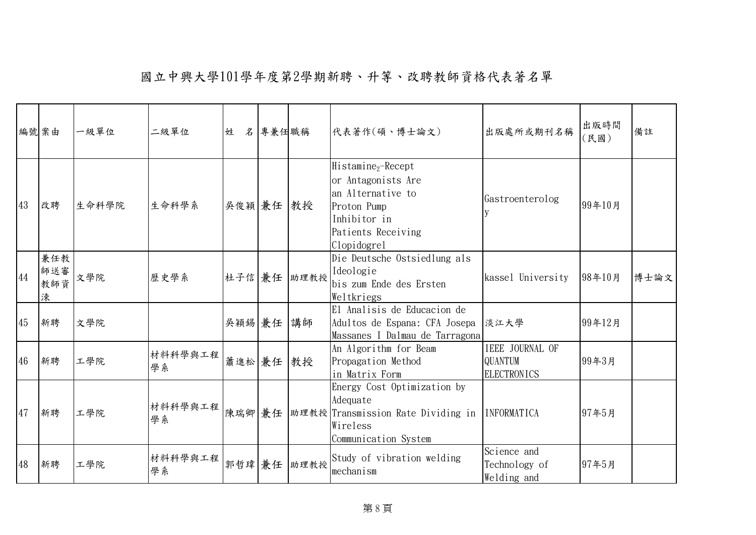|    | 編號案由                   | 一級單位  | 二級單位          | 姓         | 名專兼任職稱 |      | 代表著作(碩、博士論文)                                                                                                                                  | 出版處所或期刊名稱                                        | 出版時間<br>(民國) | 備註   |
|----|------------------------|-------|---------------|-----------|--------|------|-----------------------------------------------------------------------------------------------------------------------------------------------|--------------------------------------------------|--------------|------|
| 43 | 改聘                     | 生命科學院 | 生命科學系         | 吳俊穎 兼任 教授 |        |      | Histamine <sub>2</sub> -Recept<br>or Antagonists Are<br>an Alternative to<br>Proton Pump<br>Inhibitor in<br>Patients Receiving<br>Clopidogrel | Gastroenterolog                                  | 99年10月       |      |
| 44 | 兼任教<br>師送審<br>教師資<br>涑 | 文學院   | 歷史學系          | 杜子信兼任     |        | 助理教授 | Die Deutsche Ostsiedlung als<br>Ideologie<br>bis zum Ende des Ersten<br>Weltkriegs                                                            | kassel University                                | 98年10月       | 博士論文 |
| 45 | 新聘                     | 文學院   |               | 吳穎錫 兼任    |        | 講師   | El Analisis de Educacion de<br>Adultos de Espana: CFA Josepa<br>Massanes I Dalmau de Tarragona                                                | 淡江大學                                             | 99年12月       |      |
| 46 | 新聘                     | 工學院   | 材料科學與工程<br>學系 | 蕭進松 兼任    |        | 教授   | An Algorithm for Beam<br>Propagation Method<br>in Matrix Form                                                                                 | IEEE JOURNAL OF<br>QUANTUM<br><b>ELECTRONICS</b> | 99年3月        |      |
| 47 | 新聘                     | 工學院   | 材料科學與工程<br>學系 | 陳瑞卿兼任     |        |      | Energy Cost Optimization by<br>Adequate<br>助理教授 Transmission Rate Dividing in<br>Wireless<br>Communication System                             | <b>INFORMATICA</b>                               | 97年5月        |      |
| 48 | 新聘                     | 工學院   | 材料科學與工程<br>學系 | 郭哲瑋兼任     |        | 助理教授 | Study of vibration welding<br>mechanism                                                                                                       | Science and<br>Technology of<br>Welding and      | 97年5月        |      |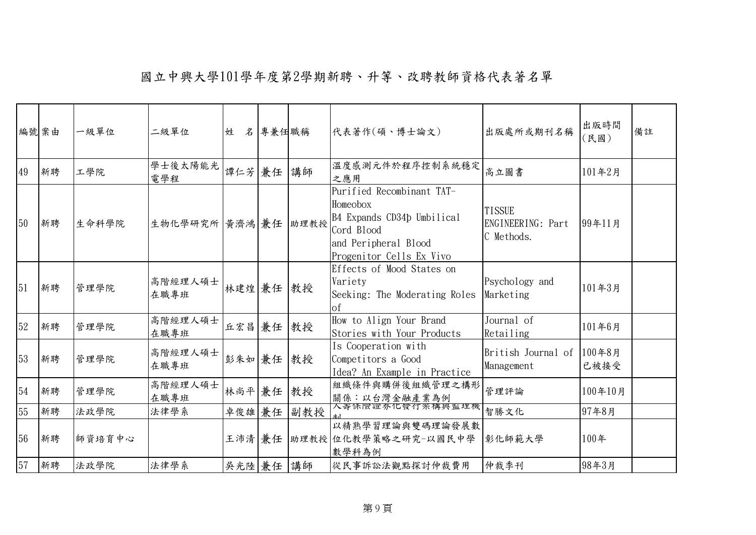|    | 編號案由 | 一級單位   | 二級單位                | 姓         | 名 專兼任職稱 |     | 代表著作(碩、博士論文)                                                                                                                          | 出版處所或期刊名稱                                        | 出版時間<br>(民國) | 備註 |
|----|------|--------|---------------------|-----------|---------|-----|---------------------------------------------------------------------------------------------------------------------------------------|--------------------------------------------------|--------------|----|
| 49 | 新聘   | 工學院    | 學士後太陽能光<br>電學程      | 譚仁芳 兼任    |         | 講師  | 溫度感測元件於程序控制系統穩定<br>之應用                                                                                                                | 高立圖書                                             | 101年2月       |    |
| 50 | 新聘   | 生命科學院  | 生物化學研究所 黃濟鴻 兼任 助理教授 |           |         |     | Purified Recombinant TAT-<br>Homeobox<br>B4 Expands CD34p Umbilical<br>Cord Blood<br>and Peripheral Blood<br>Progenitor Cells Ex Vivo | <b>TISSUE</b><br>ENGINEERING: Part<br>C Methods. | 99年11月       |    |
| 51 | 新聘   | 管理學院   | 高階經理人碩士<br>在職專班     | 林建煌 兼任 教授 |         |     | Effects of Mood States on<br>Variety<br>Seeking: The Moderating Roles<br>οf                                                           | Psychology and<br>Marketing                      | 101年3月       |    |
| 52 | 新聘   | 管理學院   | 高階經理人碩士<br>在職專班     | 丘宏昌 兼任    |         | 教授  | How to Align Your Brand<br>Stories with Your Products                                                                                 | Journal of<br>Retailing                          | 101年6月       |    |
| 53 | 新聘   | 管理學院   | 高階經理人碩士<br>在職專班     | 彭朱如兼任     |         | 教授  | Is Cooperation with<br>Competitors a Good<br>Idea? An Example in Practice                                                             | British Journal of 100年8月<br>Management          | 已被接受         |    |
| 54 | 新聘   | 管理學院   | 高階經理人碩士<br>在職專班     | 林尚平 兼任    |         | 教授  | 組織條件與購併後組織管理之構形<br>關係:以台灣金融產業為例                                                                                                       | 管理評論                                             | 100年10月      |    |
| 55 | 新聘   | 法政學院   | 法律學系                | 卓俊雄 兼任    |         | 副教授 | 人壽休險證夯化發仃笨稱興監埋機                                                                                                                       | 智勝文化                                             | 97年8月        |    |
| 56 | 新聘   | 師資培育中心 |                     |           |         |     | 以精熟學習理論與雙碼理論發展數<br>王沛清 兼任 助理教授 位化教學策略之研究-以國民中學<br>數學科為例                                                                               | 彰化師範大學                                           | 100年         |    |
| 57 | 新聘   | 法政學院   | 法律學系                | 吳光陸 兼任 講師 |         |     | 從民事訴訟法觀點探討仲裁費用                                                                                                                        | 仲裁季刊                                             | 98年3月        |    |